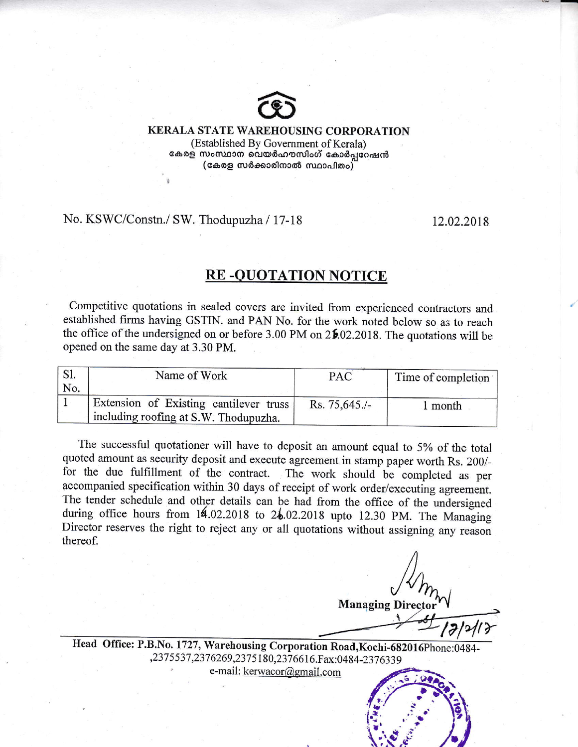

## KERALA STATE WAREHOUSING CORPORATION (Established By Govemment of Kerala)

കേരള സംസ്ഥാന വെയർഹൗസിംഗ് കോർപ്പറേഷൻ  $(\mathfrak{c}$ കരള സർക്കാരിനാൽ സ്ഥാപിതം $)$ 

No. KSWC/Constn./ SW. Thodupuzha / 17-18 12.02.2018

i

## **RE-QUOTATION NOTICE**

Competitive quotations in sealed covers are invited from experienced contractors and established firms having GSTIN. and PAN No. for the work noted below so as to reaoh the office of the undersigned on or before 3.00 PM on  $2\frac{6}{2}\cdot02.2018$ . The quotations will be opened on the same day at 3.30 PM.

| $\mathbf{S}$ l. | Name of Work                           | PAC              | Time of completion |
|-----------------|----------------------------------------|------------------|--------------------|
| No.             |                                        |                  |                    |
|                 | Extension of Existing cantilever truss | $Rs. 75.645.$ /- | 1 month            |
|                 | including roofing at S.W. Thodupuzha.  |                  |                    |

The successful quotationer will have to deposit an amount equal to 5% of the total quoted amount as security deposit and execute agreement in stamp paper worth Rs. 200/for the due fulfillment of the contract. The work should be completed as per accompanied specification within 30 days of receipt of work order/executing agreement. The tender schedule and other details can be had from the office of the undersigned during office hours from  $14.02.2018$  to  $24.02.2018$  upto 12.30 PM. The Managing Director reserves the right to reject any or all quotations without assigning any reason thereof.

**Managing Direc** 

:

,.

Head Office: P.B.No. 1727, Warehousing Corporation Road, ,237 5 537,237 6269,237 5 18O,237 661 6.F ax:0484-237 6339

e-mail: kerwacor@gmail.com